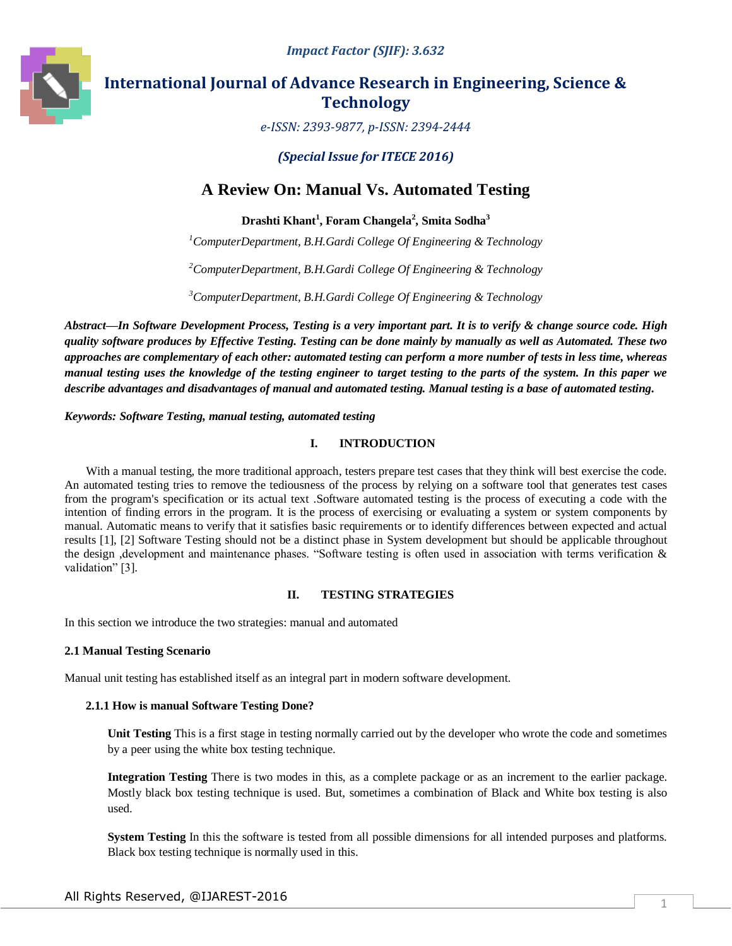

# **International Journal of Advance Research in Engineering, Science & Technology**

*e-ISSN: 2393-9877, p-ISSN: 2394-2444*

*(Special Issue for ITECE 2016)*

# **A Review On: Manual Vs. Automated Testing**

**Drashti Khant<sup>1</sup> , Foram Changela<sup>2</sup> , Smita Sodha<sup>3</sup>**

*<sup>1</sup>ComputerDepartment, B.H.Gardi College Of Engineering & Technology*

*<sup>2</sup>ComputerDepartment, B.H.Gardi College Of Engineering & Technology*

*<sup>3</sup>ComputerDepartment, B.H.Gardi College Of Engineering & Technology*

*Abstract—In Software Development Process, Testing is a very important part. It is to verify & change source code. High quality software produces by Effective Testing. Testing can be done mainly by manually as well as Automated. These two approaches are complementary of each other: automated testing can perform a more number of tests in less time, whereas manual testing uses the knowledge of the testing engineer to target testing to the parts of the system. In this paper we describe advantages and disadvantages of manual and automated testing. Manual testing is a base of automated testing.*

*Keywords: Software Testing, manual testing, automated testing*

## **I. INTRODUCTION**

With a manual testing, the more traditional approach, testers prepare test cases that they think will best exercise the code. An automated testing tries to remove the tediousness of the process by relying on a software tool that generates test cases from the program's specification or its actual text .Software automated testing is the process of executing a code with the intention of finding errors in the program. It is the process of exercising or evaluating a system or system components by manual. Automatic means to verify that it satisfies basic requirements or to identify differences between expected and actual results [1], [2] Software Testing should not be a distinct phase in System development but should be applicable throughout the design ,development and maintenance phases. "Software testing is often used in association with terms verification & validation" [3].

#### **II. TESTING STRATEGIES**

In this section we introduce the two strategies: manual and automated

#### **2.1 Manual Testing Scenario**

Manual unit testing has established itself as an integral part in modern software development.

#### **2.1.1 How is manual Software Testing Done?**

**Unit Testing** This is a first stage in testing normally carried out by the developer who wrote the code and sometimes by a peer using the white box testing technique.

**Integration Testing** There is two modes in this, as a complete package or as an increment to the earlier package. Mostly black box testing technique is used. But, sometimes a combination of Black and White box testing is also used.

**System Testing** In this the software is tested from all possible dimensions for all intended purposes and platforms. Black box testing technique is normally used in this.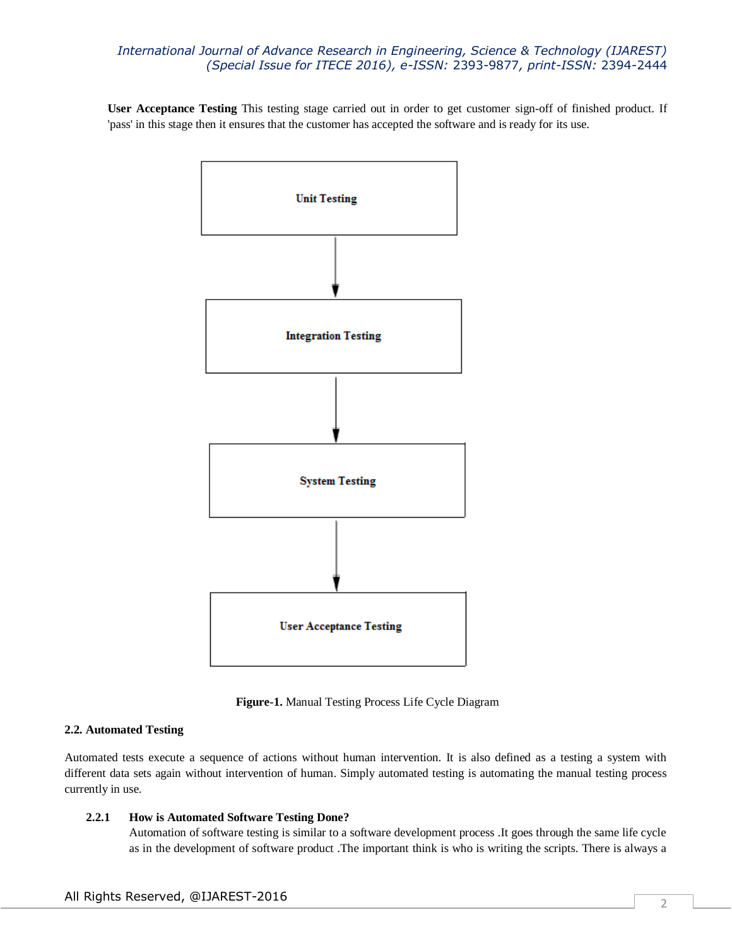**User Acceptance Testing** This testing stage carried out in order to get customer sign-off of finished product. If 'pass' in this stage then it ensures that the customer has accepted the software and is ready for its use.



**Figure-1.** Manual Testing Process Life Cycle Diagram

#### **2.2. Automated Testing**

Automated tests execute a sequence of actions without human intervention. It is also defined as a testing a system with different data sets again without intervention of human. Simply automated testing is automating the manual testing process currently in use.

#### **2.2.1 How is Automated Software Testing Done?**

Automation of software testing is similar to a software development process .It goes through the same life cycle as in the development of software product .The important think is who is writing the scripts. There is always a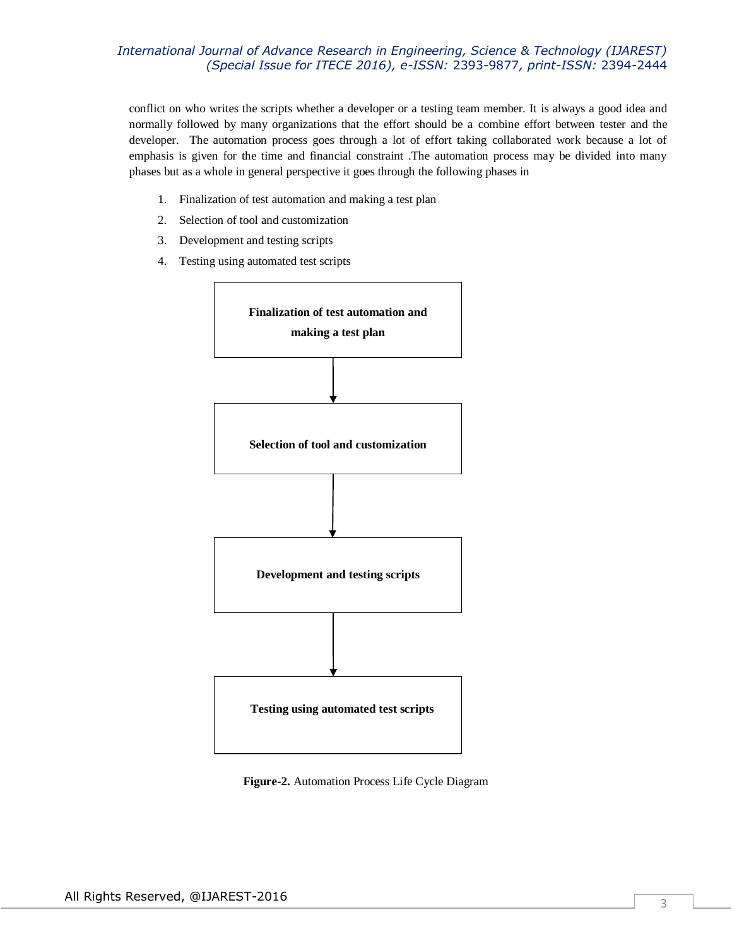conflict on who writes the scripts whether a developer or a testing team member. It is always a good idea and normally followed by many organizations that the effort should be a combine effort between tester and the developer. The automation process goes through a lot of effort taking collaborated work because a lot of emphasis is given for the time and financial constraint .The automation process may be divided into many phases but as a whole in general perspective it goes through the following phases in

- 1. Finalization of test automation and making a test plan
- 2. Selection of tool and customization
- 3. Development and testing scripts
- 4. Testing using automated test scripts



**Figure-2.** Automation Process Life Cycle Diagram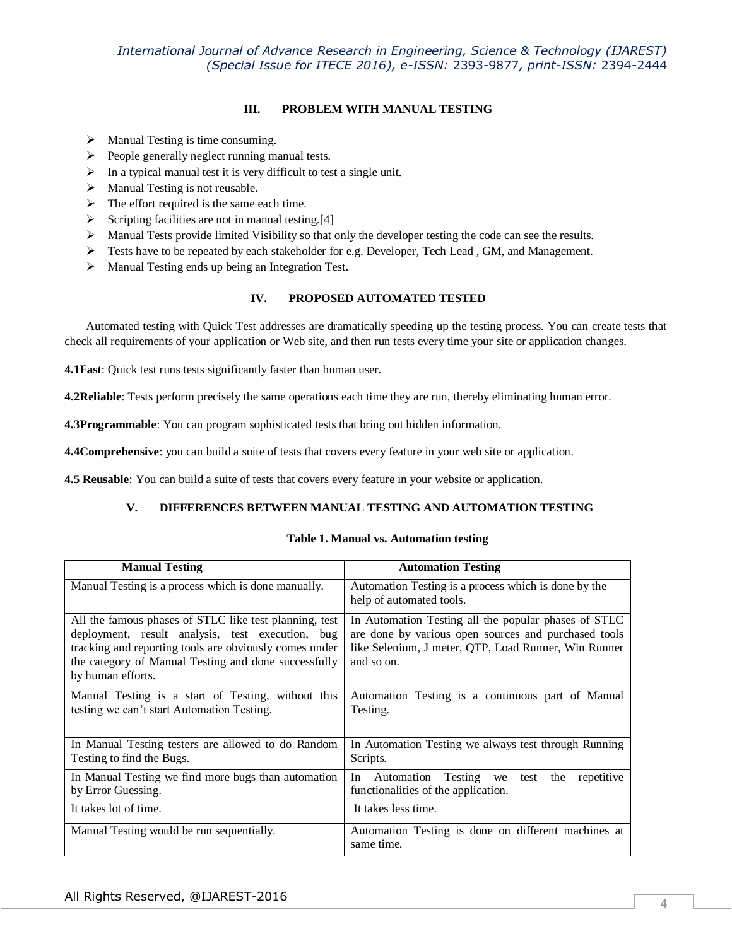## **III. PROBLEM WITH MANUAL TESTING**

- $\triangleright$  Manual Testing is time consuming.
- $\triangleright$  People generally neglect running manual tests.
- $\triangleright$  In a typical manual test it is very difficult to test a single unit.
- $\triangleright$  Manual Testing is not reusable.
- $\triangleright$  The effort required is the same each time.
- $\triangleright$  Scripting facilities are not in manual testing.[4]
- $\triangleright$  Manual Tests provide limited Visibility so that only the developer testing the code can see the results.
- $\triangleright$  Tests have to be repeated by each stakeholder for e.g. Developer, Tech Lead , GM, and Management.
- Manual Testing ends up being an Integration Test.

#### **IV. PROPOSED AUTOMATED TESTED**

Automated testing with Quick Test addresses are dramatically speeding up the testing process. You can create tests that check all requirements of your application or Web site, and then run tests every time your site or application changes.

**4.1Fast**: Quick test runs tests significantly faster than human user.

**4.2Reliable**: Tests perform precisely the same operations each time they are run, thereby eliminating human error.

**4.3Programmable**: You can program sophisticated tests that bring out hidden information.

**4.4Comprehensive**: you can build a suite of tests that covers every feature in your web site or application.

**4.5 Reusable**: You can build a suite of tests that covers every feature in your website or application.

#### **V. DIFFERENCES BETWEEN MANUAL TESTING AND AUTOMATION TESTING**

#### **Table 1. Manual vs. Automation testing**

| <b>Manual Testing</b>                                                                                                                                                                                                                             | <b>Automation Testing</b>                                                                                                                                                          |
|---------------------------------------------------------------------------------------------------------------------------------------------------------------------------------------------------------------------------------------------------|------------------------------------------------------------------------------------------------------------------------------------------------------------------------------------|
| Manual Testing is a process which is done manually.                                                                                                                                                                                               | Automation Testing is a process which is done by the<br>help of automated tools.                                                                                                   |
| All the famous phases of STLC like test planning, test<br>deployment, result analysis, test execution, bug<br>tracking and reporting tools are obviously comes under<br>the category of Manual Testing and done successfully<br>by human efforts. | In Automation Testing all the popular phases of STLC<br>are done by various open sources and purchased tools<br>like Selenium, J meter, QTP, Load Runner, Win Runner<br>and so on. |
| Manual Testing is a start of Testing, without this<br>testing we can't start Automation Testing.                                                                                                                                                  | Automation Testing is a continuous part of Manual<br>Testing.                                                                                                                      |
| In Manual Testing testers are allowed to do Random<br>Testing to find the Bugs.                                                                                                                                                                   | In Automation Testing we always test through Running<br>Scripts.                                                                                                                   |
| In Manual Testing we find more bugs than automation<br>by Error Guessing.                                                                                                                                                                         | Automation Testing we<br>the<br>In<br>repetitive<br>test<br>functionalities of the application.                                                                                    |
| It takes lot of time.                                                                                                                                                                                                                             | It takes less time.                                                                                                                                                                |
| Manual Testing would be run sequentially.                                                                                                                                                                                                         | Automation Testing is done on different machines at<br>same time.                                                                                                                  |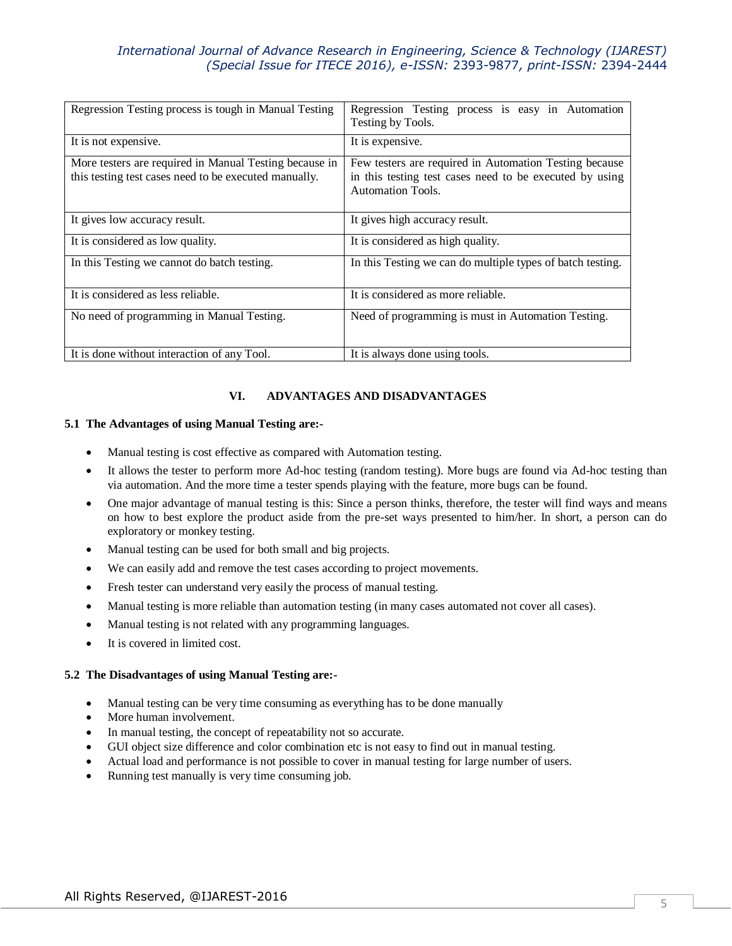| Regression Testing process is tough in Manual Testing                                                           | Regression Testing process is easy in Automation<br>Testing by Tools.                                                                         |
|-----------------------------------------------------------------------------------------------------------------|-----------------------------------------------------------------------------------------------------------------------------------------------|
| It is not expensive.                                                                                            | It is expensive.                                                                                                                              |
| More testers are required in Manual Testing because in<br>this testing test cases need to be executed manually. | Few testers are required in Automation Testing because<br>in this testing test cases need to be executed by using<br><b>Automation Tools.</b> |
| It gives low accuracy result.                                                                                   | It gives high accuracy result.                                                                                                                |
| It is considered as low quality.                                                                                | It is considered as high quality.                                                                                                             |
| In this Testing we cannot do batch testing.                                                                     | In this Testing we can do multiple types of batch testing.                                                                                    |
| It is considered as less reliable.                                                                              | It is considered as more reliable.                                                                                                            |
| No need of programming in Manual Testing.                                                                       | Need of programming is must in Automation Testing.                                                                                            |
| It is done without interaction of any Tool.                                                                     | It is always done using tools.                                                                                                                |

#### **VI. ADVANTAGES AND DISADVANTAGES**

#### **5.1 The Advantages of using Manual Testing are:-**

- Manual testing is cost effective as compared with Automation testing.
- It allows the tester to perform more Ad-hoc testing (random testing). More bugs are found via Ad-hoc testing than via automation. And the more time a tester spends playing with the feature, more bugs can be found.
- One major advantage of manual testing is this: Since a person thinks, therefore, the tester will find ways and means on how to best explore the product aside from the pre-set ways presented to him/her. In short, a person can do exploratory or monkey testing.
- Manual testing can be used for both small and big projects.
- We can easily add and remove the test cases according to project movements.
- Fresh tester can understand very easily the process of manual testing.
- Manual testing is more reliable than automation testing (in many cases automated not cover all cases).
- Manual testing is not related with any programming languages.
- It is covered in limited cost.

#### **5.2 The Disadvantages of using Manual Testing are:-**

- Manual testing can be very time consuming as everything has to be done manually
- More human involvement.
- In manual testing, the concept of repeatability not so accurate.
- GUI object size difference and color combination etc is not easy to find out in manual testing.
- Actual load and performance is not possible to cover in manual testing for large number of users.
- Running test manually is very time consuming job.